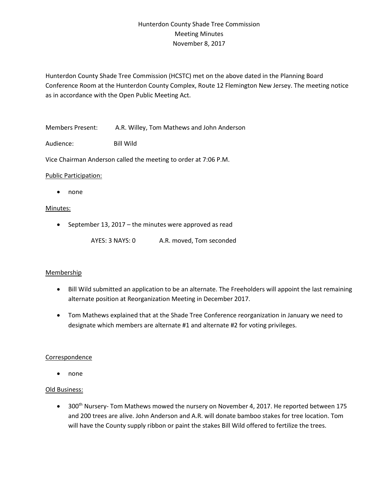# Hunterdon County Shade Tree Commission Meeting Minutes November 8, 2017

Hunterdon County Shade Tree Commission (HCSTC) met on the above dated in the Planning Board Conference Room at the Hunterdon County Complex, Route 12 Flemington New Jersey. The meeting notice as in accordance with the Open Public Meeting Act.

Members Present: A.R. Willey, Tom Mathews and John Anderson

Audience: Bill Wild

Vice Chairman Anderson called the meeting to order at 7:06 P.M.

#### Public Participation:

• none

## Minutes:

- September 13, 2017 the minutes were approved as read
	- AYES: 3 NAYS: 0 A.R. moved, Tom seconded

#### Membership

- Bill Wild submitted an application to be an alternate. The Freeholders will appoint the last remaining alternate position at Reorganization Meeting in December 2017.
- Tom Mathews explained that at the Shade Tree Conference reorganization in January we need to designate which members are alternate #1 and alternate #2 for voting privileges.

#### Correspondence

• none

#### Old Business:

• 300<sup>th</sup> Nursery- Tom Mathews mowed the nursery on November 4, 2017. He reported between 175 and 200 trees are alive. John Anderson and A.R. will donate bamboo stakes for tree location. Tom will have the County supply ribbon or paint the stakes Bill Wild offered to fertilize the trees.